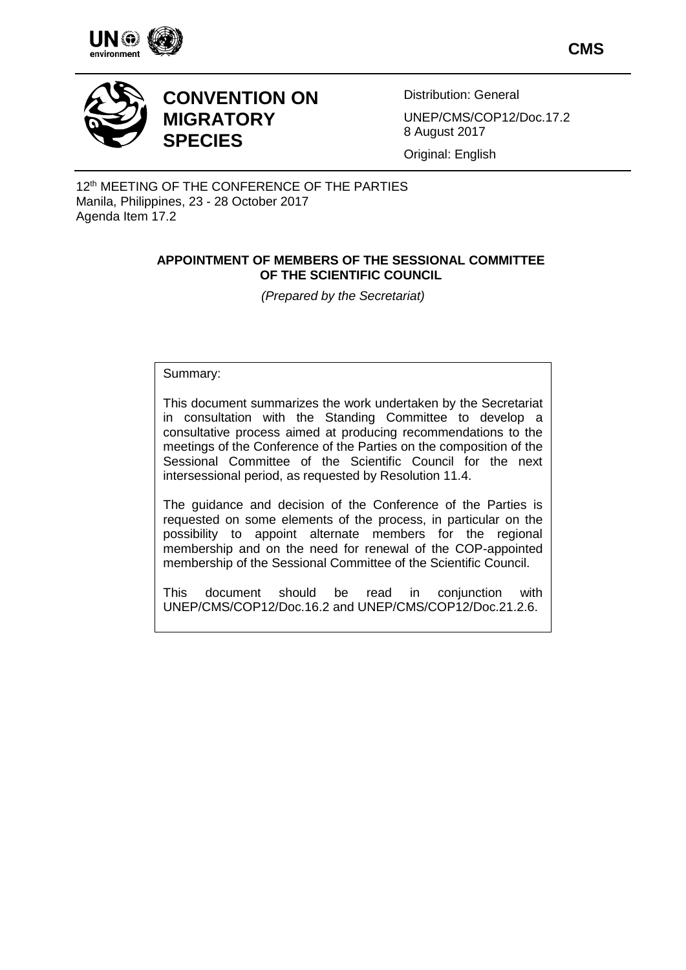

**CMS**



# **CONVENTION ON MIGRATORY SPECIES**

Distribution: General

UNEP/CMS/COP12/Doc.17.2 8 August 2017

Original: English

12<sup>th</sup> MEETING OF THE CONFERENCE OF THE PARTIES Manila, Philippines, 23 - 28 October 2017 Agenda Item 17.2

## **APPOINTMENT OF MEMBERS OF THE SESSIONAL COMMITTEE OF THE SCIENTIFIC COUNCIL**

*(Prepared by the Secretariat)*

Summary:

This document summarizes the work undertaken by the Secretariat in consultation with the Standing Committee to develop a consultative process aimed at producing recommendations to the meetings of the Conference of the Parties on the composition of the Sessional Committee of the Scientific Council for the next intersessional period, as requested by Resolution 11.4.

The guidance and decision of the Conference of the Parties is requested on some elements of the process, in particular on the possibility to appoint alternate members for the regional membership and on the need for renewal of the COP-appointed membership of the Sessional Committee of the Scientific Council.

This document should be read in conjunction with UNEP/CMS/COP12/Doc.16.2 and UNEP/CMS/COP12/Doc.21.2.6.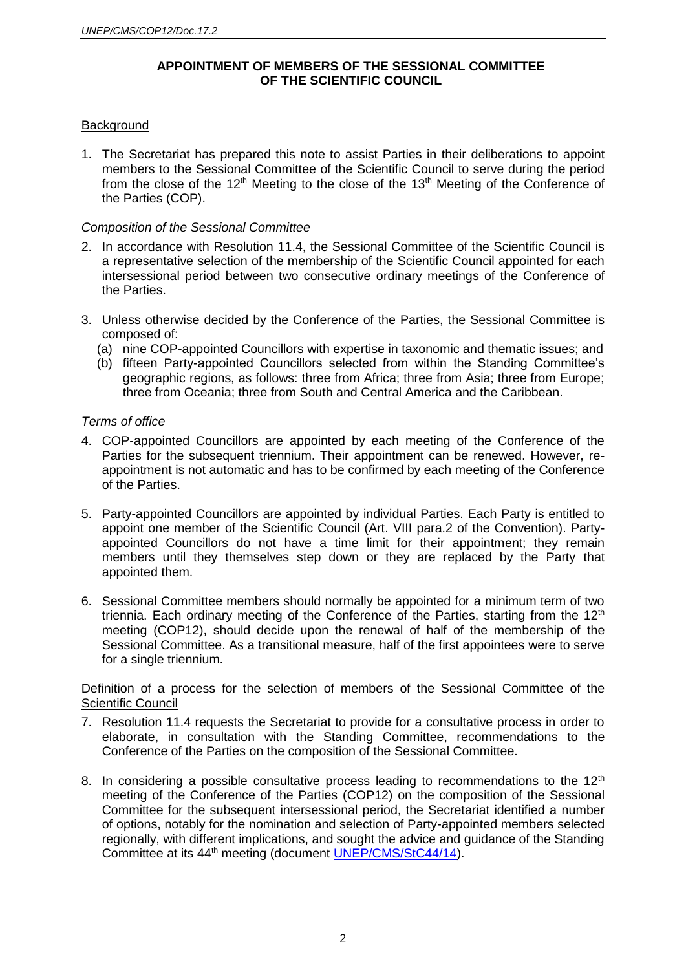## **APPOINTMENT OF MEMBERS OF THE SESSIONAL COMMITTEE OF THE SCIENTIFIC COUNCIL**

## **Background**

1. The Secretariat has prepared this note to assist Parties in their deliberations to appoint members to the Sessional Committee of the Scientific Council to serve during the period from the close of the  $12<sup>th</sup>$  Meeting to the close of the  $13<sup>th</sup>$  Meeting of the Conference of the Parties (COP).

### *Composition of the Sessional Committee*

- 2. In accordance with Resolution 11.4, the Sessional Committee of the Scientific Council is a representative selection of the membership of the Scientific Council appointed for each intersessional period between two consecutive ordinary meetings of the Conference of the Parties.
- 3. Unless otherwise decided by the Conference of the Parties, the Sessional Committee is composed of:
	- (a) nine COP-appointed Councillors with expertise in taxonomic and thematic issues; and
	- (b) fifteen Party-appointed Councillors selected from within the Standing Committee's geographic regions, as follows: three from Africa; three from Asia; three from Europe; three from Oceania; three from South and Central America and the Caribbean.

### *Terms of office*

- 4. COP-appointed Councillors are appointed by each meeting of the Conference of the Parties for the subsequent triennium. Their appointment can be renewed. However, reappointment is not automatic and has to be confirmed by each meeting of the Conference of the Parties.
- 5. Party-appointed Councillors are appointed by individual Parties. Each Party is entitled to appoint one member of the Scientific Council (Art. VIII para.2 of the Convention). Partyappointed Councillors do not have a time limit for their appointment; they remain members until they themselves step down or they are replaced by the Party that appointed them.
- 6. Sessional Committee members should normally be appointed for a minimum term of two triennia. Each ordinary meeting of the Conference of the Parties, starting from the  $12<sup>th</sup>$ meeting (COP12), should decide upon the renewal of half of the membership of the Sessional Committee. As a transitional measure, half of the first appointees were to serve for a single triennium.

#### Definition of a process for the selection of members of the Sessional Committee of the Scientific Council

- 7. Resolution 11.4 requests the Secretariat to provide for a consultative process in order to elaborate, in consultation with the Standing Committee, recommendations to the Conference of the Parties on the composition of the Sessional Committee.
- 8. In considering a possible consultative process leading to recommendations to the  $12<sup>th</sup>$ meeting of the Conference of the Parties (COP12) on the composition of the Sessional Committee for the subsequent intersessional period, the Secretariat identified a number of options, notably for the nomination and selection of Party-appointed members selected regionally, with different implications, and sought the advice and guidance of the Standing Committee at its 44<sup>th</sup> meeting (document [UNEP/CMS/StC44/14\)](http://www.cms.int/en/document/scientific-council-organizational-changes).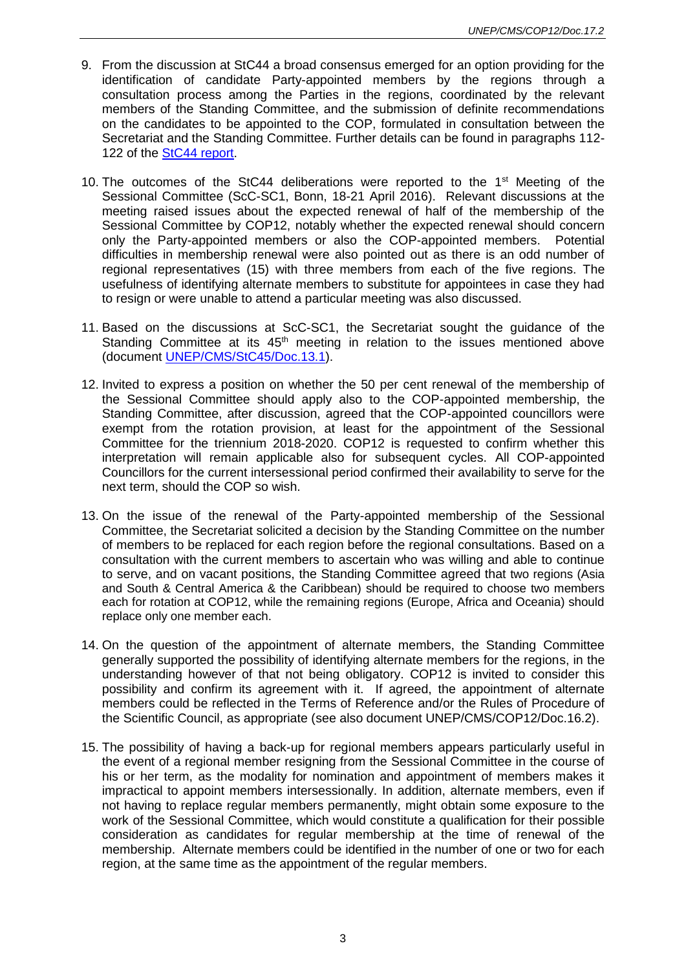- 9. From the discussion at StC44 a broad consensus emerged for an option providing for the identification of candidate Party-appointed members by the regions through a consultation process among the Parties in the regions, coordinated by the relevant members of the Standing Committee, and the submission of definite recommendations on the candidates to be appointed to the COP, formulated in consultation between the Secretariat and the Standing Committee. Further details can be found in paragraphs 112- 122 of the [StC44 report.](http://www.cms.int/en/document/44th-meeting-standing-committee)
- 10. The outcomes of the StC44 deliberations were reported to the 1st Meeting of the Sessional Committee (ScC-SC1, Bonn, 18-21 April 2016). Relevant discussions at the meeting raised issues about the expected renewal of half of the membership of the Sessional Committee by COP12, notably whether the expected renewal should concern only the Party-appointed members or also the COP-appointed members. Potential difficulties in membership renewal were also pointed out as there is an odd number of regional representatives (15) with three members from each of the five regions. The usefulness of identifying alternate members to substitute for appointees in case they had to resign or were unable to attend a particular meeting was also discussed.
- 11. Based on the discussions at ScC-SC1, the Secretariat sought the guidance of the Standing Committee at its  $45<sup>th</sup>$  meeting in relation to the issues mentioned above (document [UNEP/CMS/StC45/Doc.13.1\)](http://www.cms.int/en/document/scientific-council-organizational-changes-0).
- 12. Invited to express a position on whether the 50 per cent renewal of the membership of the Sessional Committee should apply also to the COP-appointed membership, the Standing Committee, after discussion, agreed that the COP-appointed councillors were exempt from the rotation provision, at least for the appointment of the Sessional Committee for the triennium 2018-2020. COP12 is requested to confirm whether this interpretation will remain applicable also for subsequent cycles. All COP-appointed Councillors for the current intersessional period confirmed their availability to serve for the next term, should the COP so wish.
- 13. On the issue of the renewal of the Party-appointed membership of the Sessional Committee, the Secretariat solicited a decision by the Standing Committee on the number of members to be replaced for each region before the regional consultations. Based on a consultation with the current members to ascertain who was willing and able to continue to serve, and on vacant positions, the Standing Committee agreed that two regions (Asia and South & Central America & the Caribbean) should be required to choose two members each for rotation at COP12, while the remaining regions (Europe, Africa and Oceania) should replace only one member each.
- 14. On the question of the appointment of alternate members, the Standing Committee generally supported the possibility of identifying alternate members for the regions, in the understanding however of that not being obligatory. COP12 is invited to consider this possibility and confirm its agreement with it. If agreed, the appointment of alternate members could be reflected in the Terms of Reference and/or the Rules of Procedure of the Scientific Council, as appropriate (see also document UNEP/CMS/COP12/Doc.16.2).
- 15. The possibility of having a back-up for regional members appears particularly useful in the event of a regional member resigning from the Sessional Committee in the course of his or her term, as the modality for nomination and appointment of members makes it impractical to appoint members intersessionally. In addition, alternate members, even if not having to replace regular members permanently, might obtain some exposure to the work of the Sessional Committee, which would constitute a qualification for their possible consideration as candidates for regular membership at the time of renewal of the membership. Alternate members could be identified in the number of one or two for each region, at the same time as the appointment of the regular members.